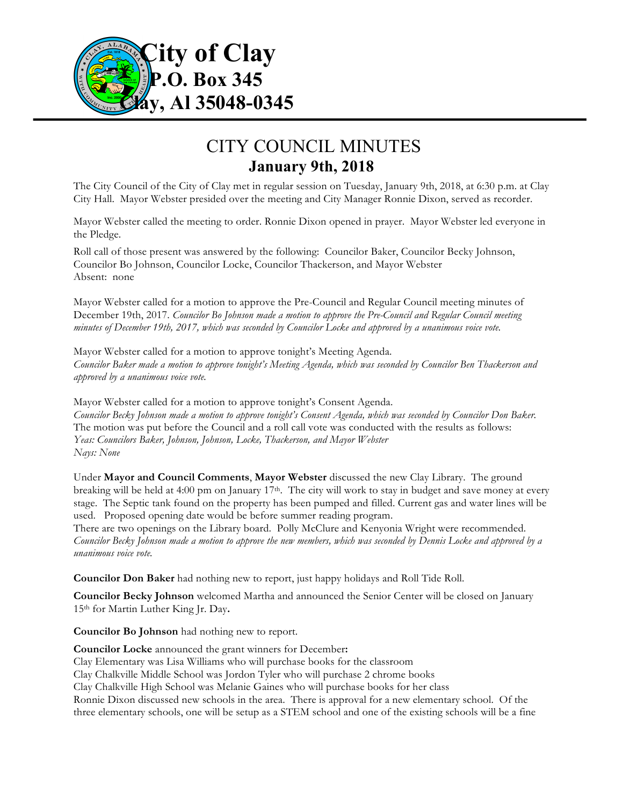

## CITY COUNCIL MINUTES **January 9th, 2018**

The City Council of the City of Clay met in regular session on Tuesday, January 9th, 2018, at 6:30 p.m. at Clay City Hall. Mayor Webster presided over the meeting and City Manager Ronnie Dixon, served as recorder.

Mayor Webster called the meeting to order. Ronnie Dixon opened in prayer. Mayor Webster led everyone in the Pledge.

Roll call of those present was answered by the following: Councilor Baker, Councilor Becky Johnson, Councilor Bo Johnson, Councilor Locke, Councilor Thackerson, and Mayor Webster Absent: none

Mayor Webster called for a motion to approve the Pre-Council and Regular Council meeting minutes of December 19th, 2017. *Councilor Bo Johnson made a motion to approve the Pre-Council and Regular Council meeting minutes of December 19th, 2017, which was seconded by Councilor Locke and approved by a unanimous voice vote.*

Mayor Webster called for a motion to approve tonight's Meeting Agenda. *Councilor Baker made a motion to approve tonight's Meeting Agenda, which was seconded by Councilor Ben Thackerson and approved by a unanimous voice vote.*

Mayor Webster called for a motion to approve tonight's Consent Agenda. *Councilor Becky Johnson made a motion to approve tonight's Consent Agenda, which was seconded by Councilor Don Baker.*  The motion was put before the Council and a roll call vote was conducted with the results as follows: *Yeas: Councilors Baker, Johnson, Johnson, Locke, Thackerson, and Mayor Webster Nays: None*

Under **Mayor and Council Comments**, **Mayor Webster** discussed the new Clay Library. The ground breaking will be held at 4:00 pm on January 17th. The city will work to stay in budget and save money at every stage. The Septic tank found on the property has been pumped and filled. Current gas and water lines will be used. Proposed opening date would be before summer reading program.

There are two openings on the Library board. Polly McClure and Kenyonia Wright were recommended. *Councilor Becky Johnson made a motion to approve the new members, which was seconded by Dennis Locke and approved by a unanimous voice vote.*

**Councilor Don Baker** had nothing new to report, just happy holidays and Roll Tide Roll.

**Councilor Becky Johnson** welcomed Martha and announced the Senior Center will be closed on January 15th for Martin Luther King Jr. Day**.**

**Councilor Bo Johnson** had nothing new to report.

**Councilor Locke** announced the grant winners for December**:**

Clay Elementary was Lisa Williams who will purchase books for the classroom

Clay Chalkville Middle School was Jordon Tyler who will purchase 2 chrome books

Clay Chalkville High School was Melanie Gaines who will purchase books for her class

Ronnie Dixon discussed new schools in the area. There is approval for a new elementary school. Of the three elementary schools, one will be setup as a STEM school and one of the existing schools will be a fine